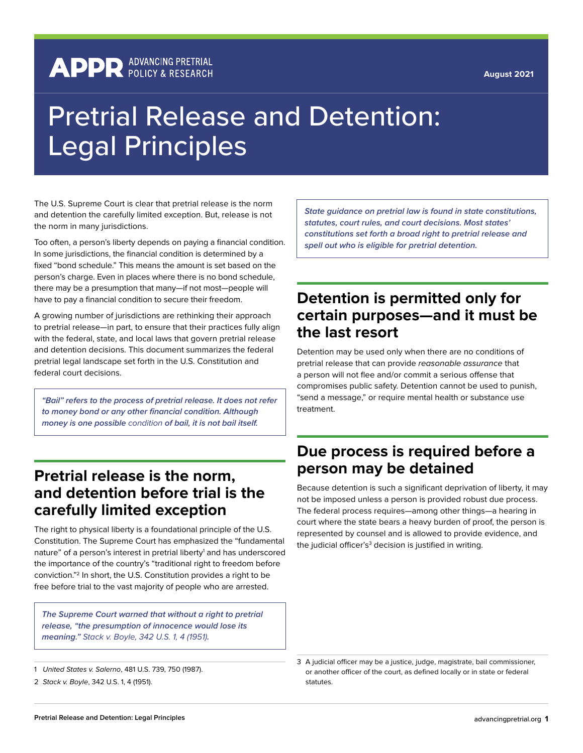#### **August 2021**

## **APPR** ADVANCING PRETRIAL

# Pretrial Release and Detention: Legal Principles

The U.S. Supreme Court is clear that pretrial release is the norm and detention the carefully limited exception. But, release is not the norm in many jurisdictions.

Too often, a person's liberty depends on paying a financial condition. In some jurisdictions, the financial condition is determined by a fixed "bond schedule." This means the amount is set based on the person's charge. Even in places where there is no bond schedule, there may be a presumption that many—if not most—people will have to pay a financial condition to secure their freedom.

A growing number of jurisdictions are rethinking their approach to pretrial release—in part, to ensure that their practices fully align with the federal, state, and local laws that govern pretrial release and detention decisions. This document summarizes the federal pretrial legal landscape set forth in the U.S. Constitution and federal court decisions.

*"Bail" refers to the process of pretrial release. It does not refer to money bond or any other financial condition. Although money is one possible* condition *of bail, it is not bail itself.*

#### **Pretrial release is the norm, and detention before trial is the carefully limited exception**

The right to physical liberty is a foundational principle of the U.S. Constitution. The Supreme Court has emphasized the "fundamental nature" of a person's interest in pretrial liberty<sup>1</sup> and has underscored the importance of the country's "traditional right to freedom before conviction."2 In short, the U.S. Constitution provides a right to be free before trial to the vast majority of people who are arrested.

*The Supreme Court warned that without a right to pretrial release, "the presumption of innocence would lose its meaning."* Stack v. Boyle, 342 U.S. 1, 4 (1951)*.*

*State guidance on pretrial law is found in state constitutions, statutes, court rules, and court decisions. Most states' constitutions set forth a broad right to pretrial release and spell out who is eligible for pretrial detention.*

#### **Detention is permitted only for certain purposes—and it must be the last resort**

Detention may be used only when there are no conditions of pretrial release that can provide reasonable assurance that a person will not flee and/or commit a serious offense that compromises public safety. Detention cannot be used to punish, "send a message," or require mental health or substance use treatment.

### **Due process is required before a person may be detained**

Because detention is such a significant deprivation of liberty, it may not be imposed unless a person is provided robust due process. The federal process requires—among other things—a hearing in court where the state bears a heavy burden of proof, the person is represented by counsel and is allowed to provide evidence, and the judicial officer's $^{\rm 3}$  decision is justified in writing.

<sup>1</sup> United States v. Salerno, 481 U.S. 739, 750 (1987).

<sup>2</sup> Stack v. Boyle, 342 U.S. 1, 4 (1951).

<sup>3</sup> A judicial officer may be a justice, judge, magistrate, bail commissioner, or another officer of the court, as defined locally or in state or federal statutes.